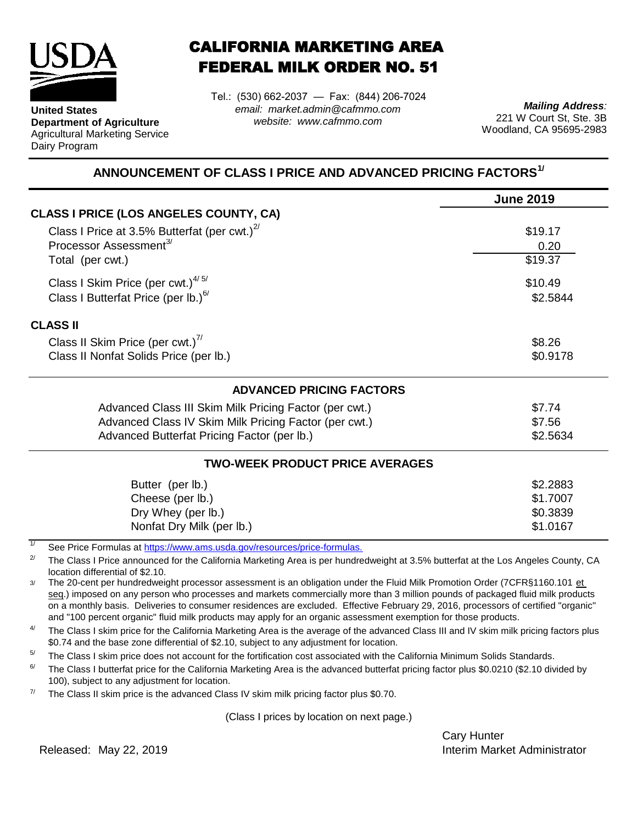

**United States**

Dairy Program

**Department of Agriculture** Agricultural Marketing Service CALIFORNIA MARKETING AREA FEDERAL MILK ORDER NO. 51

Tel.: (530) 662-2037 — Fax: (844) 206-7024 *email: market.admin@cafmmo.com website: www.cafmmo.com*

*Mailing Address:* 221 W Court St, Ste. 3B Woodland, CA 95695-2983

## **ANNOUNCEMENT OF CLASS I PRICE AND ADVANCED PRICING FACTORS1/**

|                                                                                | <b>June 2019</b> |  |  |
|--------------------------------------------------------------------------------|------------------|--|--|
| <b>CLASS I PRICE (LOS ANGELES COUNTY, CA)</b>                                  |                  |  |  |
| Class I Price at 3.5% Butterfat (per cwt.) $^{27}$                             | \$19.17          |  |  |
| Processor Assessment <sup>3/</sup>                                             | 0.20             |  |  |
| Total (per cwt.)                                                               | \$19.37          |  |  |
| Class I Skim Price (per cwt.) $4/5/$                                           | \$10.49          |  |  |
| Class I Butterfat Price (per lb.) $^{6/}$                                      | \$2.5844         |  |  |
| <b>CLASS II</b>                                                                |                  |  |  |
| Class II Skim Price (per cwt.) <sup>77</sup>                                   | \$8.26           |  |  |
| Class II Nonfat Solids Price (per lb.)                                         | \$0.9178         |  |  |
| <b>ADVANCED PRICING FACTORS</b>                                                |                  |  |  |
| Advanced Class III Skim Milk Pricing Factor (per cwt.)                         | \$7.74           |  |  |
| Advanced Class IV Skim Milk Pricing Factor (per cwt.)                          | \$7.56           |  |  |
| Advanced Butterfat Pricing Factor (per lb.)                                    | \$2.5634         |  |  |
| <b>TWO-WEEK PRODUCT PRICE AVERAGES</b>                                         |                  |  |  |
| Butter (per lb.)                                                               | \$2.2883         |  |  |
| Cheese (per lb.)                                                               | \$1.7007         |  |  |
| Dry Whey (per lb.)                                                             | \$0.3839         |  |  |
| Nonfat Dry Milk (per lb.)                                                      | \$1.0167         |  |  |
| 1/<br>See Dries Fermules at https://www.ams.usdo.gov/resequesce/prise fermules |                  |  |  |

[See Price Formulas at h](https://www.ams.usda.gov/resources/price-formulas)ttps://www.ams.usda.gov/resources/price-formulas.

2/ The Class I Price announced for the California Marketing Area is per hundredweight at 3.5% butterfat at the Los Angeles County, CA location differential of \$2.10.

3/ The 20-cent per hundredweight processor assessment is an obligation under the Fluid Milk Promotion Order (7CFR§1160.101 et seq.) imposed on any person who processes and markets commercially more than 3 million pounds of packaged fluid milk products on a monthly basis. Deliveries to consumer residences are excluded. Effective February 29, 2016, processors of certified "organic" and "100 percent organic" fluid milk products may apply for an organic assessment exemption for those products.

4/ The Class I skim price for the California Marketing Area is the average of the advanced Class III and IV skim milk pricing factors plus \$0.74 and the base zone differential of \$2.10, subject to any adjustment for location.

5/ The Class I skim price does not account for the fortification cost associated with the California Minimum Solids Standards.

6/ The Class I butterfat price for the California Marketing Area is the advanced butterfat pricing factor plus \$0.0210 (\$2.10 divided by 100), subject to any adjustment for location.

7/ The Class II skim price is the advanced Class IV skim milk pricing factor plus \$0.70.

(Class I prices by location on next page.)

Cary Hunter Released: Interim Market Administrator May 22, 2019